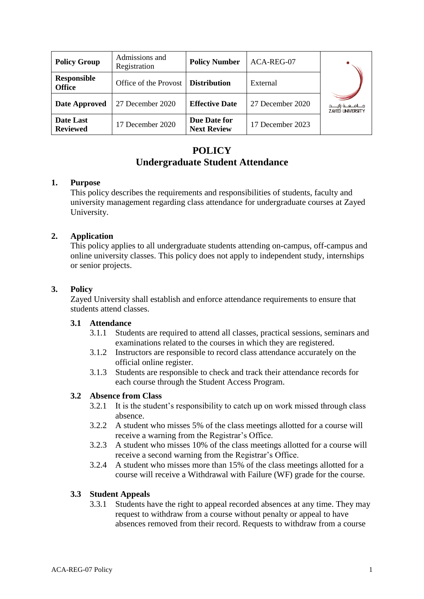| <b>Policy Group</b>                 | Admissions and<br>Registration       | <b>Policy Number</b>               | ACA-REG-07       |                                                        |
|-------------------------------------|--------------------------------------|------------------------------------|------------------|--------------------------------------------------------|
| <b>Responsible</b><br><b>Office</b> | Office of the Provost   Distribution |                                    | External         |                                                        |
| <b>Date Approved</b>                | 27 December 2020                     | <b>Effective Date</b>              | 27 December 2020 | مــــامــــعــــة زايـــــد<br><b>ZAYED UNIVERSITY</b> |
| Date Last<br><b>Reviewed</b>        | 17 December 2020                     | Due Date for<br><b>Next Review</b> | 17 December 2023 |                                                        |

# **POLICY Undergraduate Student Attendance**

## **1. Purpose**

This policy describes the requirements and responsibilities of students, faculty and university management regarding class attendance for undergraduate courses at Zayed University.

## **2. Application**

This policy applies to all undergraduate students attending on-campus, off-campus and online university classes. This policy does not apply to independent study, internships or senior projects.

## **3. Policy**

Zayed University shall establish and enforce attendance requirements to ensure that students attend classes.

### **3.1 Attendance**

- 3.1.1 Students are required to attend all classes, practical sessions, seminars and examinations related to the courses in which they are registered.
- 3.1.2 Instructors are responsible to record class attendance accurately on the official online register.
- 3.1.3 Students are responsible to check and track their attendance records for each course through the Student Access Program.

### **3.2 Absence from Class**

- 3.2.1 It is the student's responsibility to catch up on work missed through class absence.
- 3.2.2 A student who misses 5% of the class meetings allotted for a course will receive a warning from the Registrar's Office.
- 3.2.3 A student who misses 10% of the class meetings allotted for a course will receive a second warning from the Registrar's Office.
- 3.2.4 A student who misses more than 15% of the class meetings allotted for a course will receive a Withdrawal with Failure (WF) grade for the course.

### **3.3 Student Appeals**

3.3.1 Students have the right to appeal recorded absences at any time. They may request to withdraw from a course without penalty or appeal to have absences removed from their record. Requests to withdraw from a course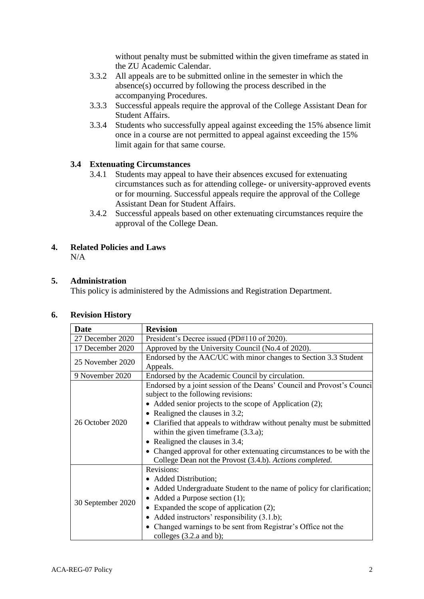without penalty must be submitted within the given timeframe as stated in the ZU Academic Calendar.

- 3.3.2 All appeals are to be submitted online in the semester in which the absence(s) occurred by following the process described in the accompanying Procedures.
- 3.3.3 Successful appeals require the approval of the College Assistant Dean for Student Affairs.
- 3.3.4 Students who successfully appeal against exceeding the 15% absence limit once in a course are not permitted to appeal against exceeding the 15% limit again for that same course.

## **3.4 Extenuating Circumstances**

- 3.4.1 Students may appeal to have their absences excused for extenuating circumstances such as for attending college- or university-approved events or for mourning. Successful appeals require the approval of the College Assistant Dean for Student Affairs.
- 3.4.2 Successful appeals based on other extenuating circumstances require the approval of the College Dean.

#### **4. Related Policies and Laws** N/A

## **5. Administration**

This policy is administered by the Admissions and Registration Department.

### **6. Revision History**

| <b>Date</b>       | <b>Revision</b>                                                                                                                                                                                                                                                                                                                                                                                                                                                                                      |  |
|-------------------|------------------------------------------------------------------------------------------------------------------------------------------------------------------------------------------------------------------------------------------------------------------------------------------------------------------------------------------------------------------------------------------------------------------------------------------------------------------------------------------------------|--|
| 27 December 2020  | President's Decree issued (PD#110 of 2020).                                                                                                                                                                                                                                                                                                                                                                                                                                                          |  |
| 17 December 2020  | Approved by the University Council (No.4 of 2020).                                                                                                                                                                                                                                                                                                                                                                                                                                                   |  |
| 25 November 2020  | Endorsed by the AAC/UC with minor changes to Section 3.3 Student<br>Appeals.                                                                                                                                                                                                                                                                                                                                                                                                                         |  |
| 9 November 2020   | Endorsed by the Academic Council by circulation.                                                                                                                                                                                                                                                                                                                                                                                                                                                     |  |
| 26 October 2020   | Endorsed by a joint session of the Deans' Council and Provost's Council<br>subject to the following revisions:<br>• Added senior projects to the scope of Application (2);<br>Realigned the clauses in 3.2;<br>Clarified that appeals to withdraw without penalty must be submitted<br>within the given time frame $(3.3.a)$ ;<br>Realigned the clauses in 3.4;<br>• Changed approval for other extenuating circumstances to be with the<br>College Dean not the Provost (3.4.b). Actions completed. |  |
| 30 September 2020 | Revisions:<br>• Added Distribution;<br>Added Undergraduate Student to the name of policy for clarification;<br>Added a Purpose section (1);<br>• Expanded the scope of application (2);<br>Added instructors' responsibility $(3.1.b)$ ;<br>Changed warnings to be sent from Registrar's Office not the<br>colleges $(3.2.a$ and b);                                                                                                                                                                 |  |